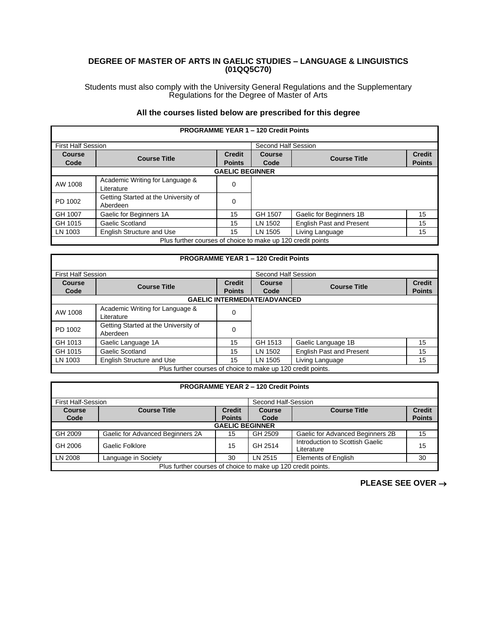## **DEGREE OF MASTER OF ARTS IN GAELIC STUDIES – LANGUAGE & LINGUISTICS (01QQ5C70)**

Students must also comply with the University General Regulations and the Supplementary Regulations for the Degree of Master of Arts

## **All the courses listed below are prescribed for this degree**

|                                                             |                                                  |                                | <b>PROGRAMME YEAR 1 - 120 Credit Points</b> |                                 |                                |  |
|-------------------------------------------------------------|--------------------------------------------------|--------------------------------|---------------------------------------------|---------------------------------|--------------------------------|--|
| <b>First Half Session</b>                                   |                                                  |                                | Second Half Session                         |                                 |                                |  |
| <b>Course</b><br>Code                                       | <b>Course Title</b>                              | <b>Credit</b><br><b>Points</b> | <b>Course</b><br>Code                       | <b>Course Title</b>             | <b>Credit</b><br><b>Points</b> |  |
|                                                             | <b>GAELIC BEGINNER</b>                           |                                |                                             |                                 |                                |  |
| AW 1008                                                     | Academic Writing for Language &<br>Literature    | 0                              |                                             |                                 |                                |  |
| PD 1002                                                     | Getting Started at the University of<br>Aberdeen | 0                              |                                             |                                 |                                |  |
| GH 1007                                                     | Gaelic for Beginners 1A                          | 15                             | GH 1507                                     | Gaelic for Beginners 1B         | 15                             |  |
| GH 1015                                                     | Gaelic Scotland                                  | 15                             | LN 1502                                     | <b>English Past and Present</b> | 15                             |  |
| LN 1003                                                     | English Structure and Use                        | 15                             | LN 1505                                     | Living Language                 | 15                             |  |
| Plus further courses of choice to make up 120 credit points |                                                  |                                |                                             |                                 |                                |  |

## **PROGRAMME YEAR 1 – 120 Credit Points** First Half Session Second Half Session **Course Course Course Title Credit Credit Code Course Title Credit Points Points Course Course Course Title Credit Code Course Title Credit Points Points GAELIC INTERMEDIATE/ADVANCED** AW 1008 | Academic Writing for Language & | 0 PD 1002 Getting Started at the University of Getting Started at the University of Getting 1999 GH 1013 Gaelic Language 1A 15 GH 1513 Gaelic Language 1B 15 GH 1015 Gaelic Scotland 15 | LN 1502 English Past and Present 15 LN 1003 | English Structure and Use 15 | 15 | LN 1505 | Living Language 15 Plus further courses of choice to make up 120 credit points.

|                                                              | <b>PROGRAMME YEAR 2 - 120 Credit Points</b> |                        |                     |                                  |               |  |
|--------------------------------------------------------------|---------------------------------------------|------------------------|---------------------|----------------------------------|---------------|--|
| <b>First Half-Session</b>                                    |                                             |                        | Second Half-Session |                                  |               |  |
| <b>Course</b>                                                | <b>Course Title</b>                         | <b>Credit</b>          | <b>Course</b>       | <b>Course Title</b>              | <b>Credit</b> |  |
| Code                                                         |                                             | <b>Points</b>          | Code                |                                  | <b>Points</b> |  |
|                                                              |                                             | <b>GAELIC BEGINNER</b> |                     |                                  |               |  |
| GH 2009                                                      | Gaelic for Advanced Beginners 2A            | 15                     | GH 2509             | Gaelic for Advanced Beginners 2B | 15            |  |
| GH 2006                                                      | Gaelic Folklore                             | 15                     | GH 2514             | Introduction to Scottish Gaelic  | 15            |  |
|                                                              |                                             |                        |                     | Literature                       |               |  |
| LN 2008                                                      | Language in Society                         | 30                     | LN 2515             | <b>Elements of English</b>       | 30            |  |
| Plus further courses of choice to make up 120 credit points. |                                             |                        |                     |                                  |               |  |

**PLEASE SEE OVER** →